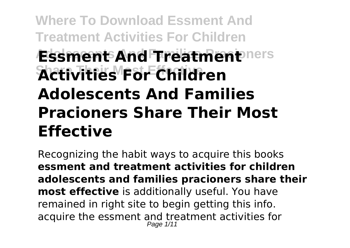# **Where To Download Essment And Treatment Activities For Children Essment And Treatment**ners **Share Their Most Effective Activities For Children Adolescents And Families Pracioners Share Their Most Effective**

Recognizing the habit ways to acquire this books **essment and treatment activities for children adolescents and families pracioners share their most effective** is additionally useful. You have remained in right site to begin getting this info. acquire the essment and treatment activities for Page 1/11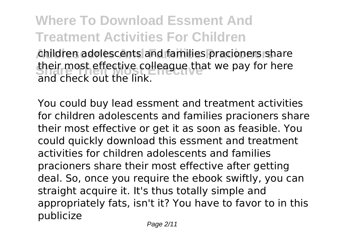#### **Where To Download Essment And Treatment Activities For Children Adolescents And Families Pracioners** children adolescents and families pracioners share their most effective colleague that we pay for here and check out the link.

You could buy lead essment and treatment activities for children adolescents and families pracioners share their most effective or get it as soon as feasible. You could quickly download this essment and treatment activities for children adolescents and families pracioners share their most effective after getting deal. So, once you require the ebook swiftly, you can straight acquire it. It's thus totally simple and appropriately fats, isn't it? You have to favor to in this publicize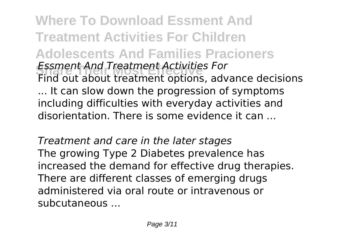**Where To Download Essment And Treatment Activities For Children Adolescents And Families Pracioners Share Their Most Effective** *Essment And Treatment Activities For* Find out about treatment options, advance decisions ... It can slow down the progression of symptoms including difficulties with everyday activities and disorientation. There is some evidence it can ...

*Treatment and care in the later stages* The growing Type 2 Diabetes prevalence has increased the demand for effective drug therapies. There are different classes of emerging drugs administered via oral route or intravenous or subcutaneous ...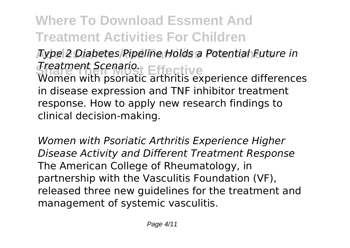**Adolescents And Families Pracioners** *Type 2 Diabetes Pipeline Holds a Potential Future in* **Share Their Most Effective** *Treatment Scenario.* Women with psoriatic arthritis experience differences in disease expression and TNF inhibitor treatment response. How to apply new research findings to clinical decision-making.

*Women with Psoriatic Arthritis Experience Higher Disease Activity and Different Treatment Response* The American College of Rheumatology, in partnership with the Vasculitis Foundation (VF), released three new guidelines for the treatment and management of systemic vasculitis.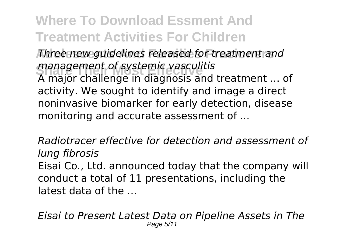**Adolescents And Families Pracioners** *Three new guidelines released for treatment and* management of systemic vasculitis<br>A major challenge in diagnosis and A major challenge in diagnosis and treatment ... of activity. We sought to identify and image a direct noninvasive biomarker for early detection, disease monitoring and accurate assessment of ...

*Radiotracer effective for detection and assessment of lung fibrosis* Eisai Co., Ltd. announced today that the company will conduct a total of 11 presentations, including the latest data of the ...

*Eisai to Present Latest Data on Pipeline Assets in The* Page 5/11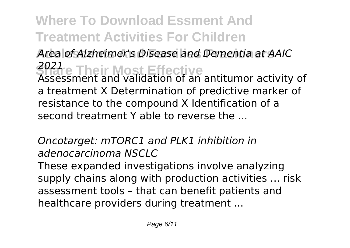Area of Alzheimer's Disease and Dementia at AAIC **Share Their Most Effective** *2021* Assessment and validation of an antitumor activity of a treatment X Determination of predictive marker of resistance to the compound X Identification of a second treatment Y able to reverse the ...

*Oncotarget: mTORC1 and PLK1 inhibition in adenocarcinoma NSCLC* These expanded investigations involve analyzing supply chains along with production activities ... risk assessment tools – that can benefit patients and healthcare providers during treatment ...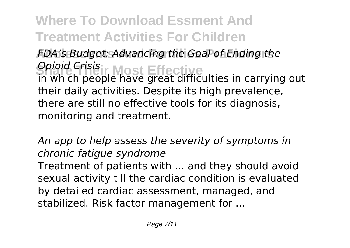**Adolescents And Families Pracioners** *FDA's Budget: Advancing the Goal of Ending the* **Share Their Most Effective** *Opioid Crisis* in which people have great difficulties in carrying out their daily activities. Despite its high prevalence, there are still no effective tools for its diagnosis, monitoring and treatment.

*An app to help assess the severity of symptoms in chronic fatigue syndrome* Treatment of patients with ... and they should avoid sexual activity till the cardiac condition is evaluated by detailed cardiac assessment, managed, and stabilized. Risk factor management for ...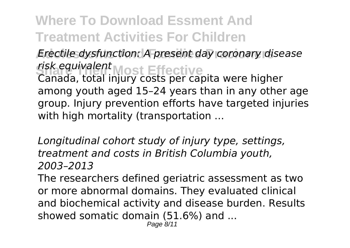**Adolescents And Families Pracioners** *Erectile dysfunction: A present day coronary disease* **Share Their Most Effective** *risk equivalent* Canada, total injury costs per capita were higher among youth aged 15–24 years than in any other age group. Injury prevention efforts have targeted injuries with high mortality (transportation ...

*Longitudinal cohort study of injury type, settings, treatment and costs in British Columbia youth, 2003–2013*

The researchers defined geriatric assessment as two or more abnormal domains. They evaluated clinical and biochemical activity and disease burden. Results showed somatic domain (51.6%) and ...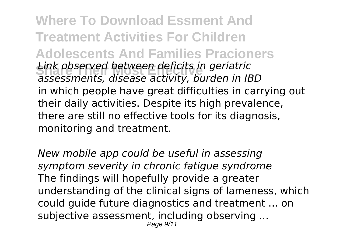**Where To Download Essment And Treatment Activities For Children Adolescents And Families Pracioners Share Their Most Effective** *Link observed between deficits in geriatric assessments, disease activity, burden in IBD* in which people have great difficulties in carrying out their daily activities. Despite its high prevalence, there are still no effective tools for its diagnosis, monitoring and treatment.

*New mobile app could be useful in assessing symptom severity in chronic fatigue syndrome* The findings will hopefully provide a greater understanding of the clinical signs of lameness, which could guide future diagnostics and treatment ... on subjective assessment, including observing ... Page 9/11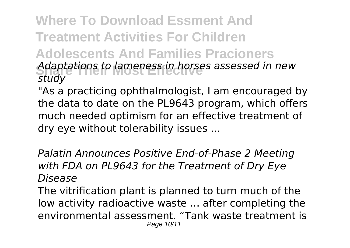#### **Where To Download Essment And Treatment Activities For Children Adolescents And Families Pracioners Share Their Most Effective** *Adaptations to lameness in horses assessed in new study*

"As a practicing ophthalmologist, I am encouraged by the data to date on the PL9643 program, which offers much needed optimism for an effective treatment of dry eye without tolerability issues ...

*Palatin Announces Positive End-of-Phase 2 Meeting with FDA on PL9643 for the Treatment of Dry Eye Disease*

The vitrification plant is planned to turn much of the low activity radioactive waste ... after completing the environmental assessment. "Tank waste treatment is Page 10/11